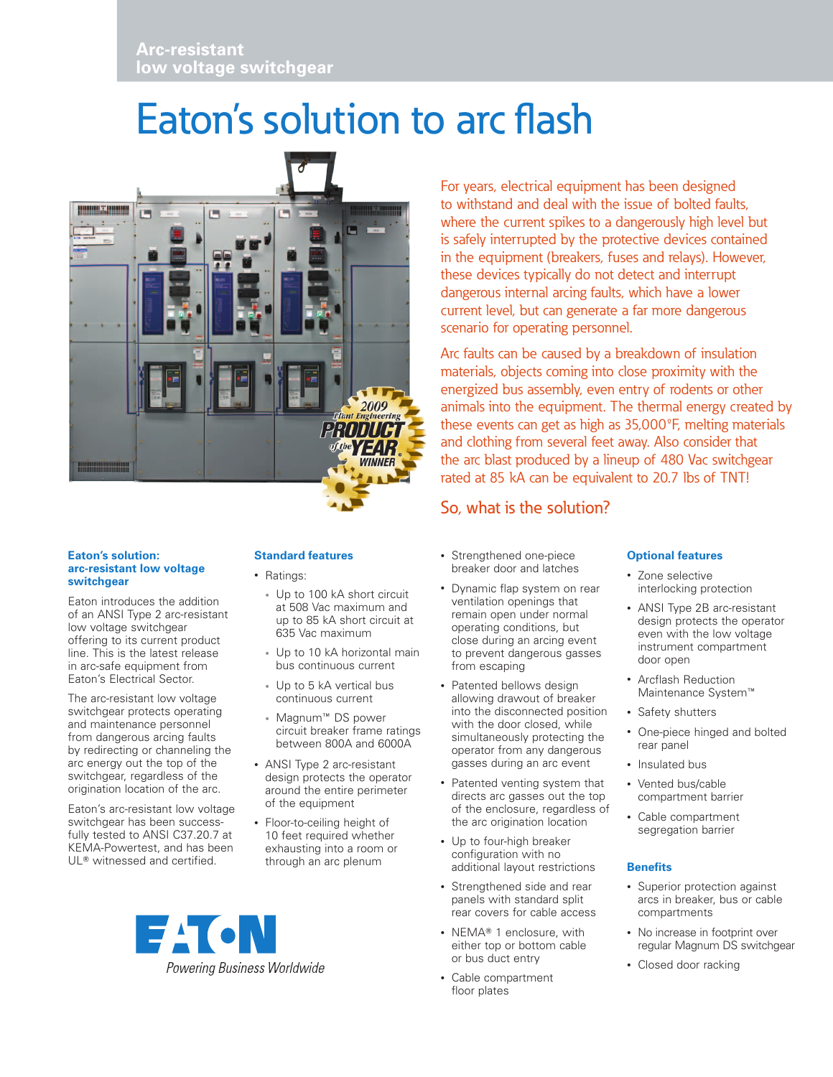# Eaton's solution to arc flash



For years, electrical equipment has been designed to withstand and deal with the issue of bolted faults, where the current spikes to a dangerously high level but is safely interrupted by the protective devices contained in the equipment (breakers, fuses and relays). However, these devices typically do not detect and interrupt dangerous internal arcing faults, which have a lower current level, but can generate a far more dangerous scenario for operating personnel.

Arc faults can be caused by a breakdown of insulation materials, objects coming into close proximity with the energized bus assembly, even entry of rodents or other animals into the equipment. The thermal energy created by these events can get as high as 35,000ºF, melting materials and clothing from several feet away. Also consider that the arc blast produced by a lineup of 480 Vac switchgear rated at 85 kA can be equivalent to 20.7 lbs of TNT!

# So, what is the solution?

#### **Eaton's solution: arc-resistant low voltage switchgear**

Eaton introduces the addition of an ANSI Type 2 arc-resistant low voltage switchgear offering to its current product line. This is the latest release in arc-safe equipment from Eaton's Electrical Sector.

The arc-resistant low voltage switchgear protects operating and maintenance personnel from dangerous arcing faults by redirecting or channeling the arc energy out the top of the switchgear, regardless of the origination location of the arc.

Eaton's arc-resistant low voltage switchgear has been successfully tested to ANSI C37.20.7 at KEMA-Powertest, and has been UL<sup>®</sup> witnessed and certified.

## **Standard features**

- Ratings:
	- • Up to 100 kA short circuit at 508 Vac maximum and up to 85 kA short circuit at 635 Vac maximum
	- Up to 10 kA horizontal main bus continuous current
- Up to 5 kA vertical bus continuous current
- Magnum<sup>™</sup> DS power circuit breaker frame ratings between 800A and 6000A
- ANSI Type 2 arc-resistant design protects the operator around the entire perimeter of the equipment
- Floor-to-ceiling height of 10 feet required whether exhausting into a room or through an arc plenum



- Strengthened one-piece breaker door and latches
- • Dynamic flap system on rear ventilation openings that remain open under normal operating conditions, but close during an arcing event to prevent dangerous gasses from escaping
- Patented bellows design allowing drawout of breaker into the disconnected position with the door closed, while simultaneously protecting the operator from any dangerous gasses during an arc event
- Patented venting system that directs arc gasses out the top of the enclosure, regardless of the arc origination location
- Up to four-high breaker configuration with no additional layout restrictions
- Strengthened side and rear panels with standard split rear covers for cable access
- NEMA® 1 enclosure, with either top or bottom cable or bus duct entry
- • Cable compartment floor plates

### **Optional features**

- Zone selective interlocking protection
- ANSI Type 2B arc-resistant design protects the operator even with the low voltage instrument compartment door open
- • Arcflash Reduction Maintenance System<sup>™</sup>
- Safety shutters
- One-piece hinged and bolted rear panel
- Insulated bus
- • Vented bus/cable compartment barrier
- • Cable compartment segregation barrier

### **Benefits**

- Superior protection against arcs in breaker, bus or cable compartments
- No increase in footprint over regular Magnum DS switchgear
- Closed door racking